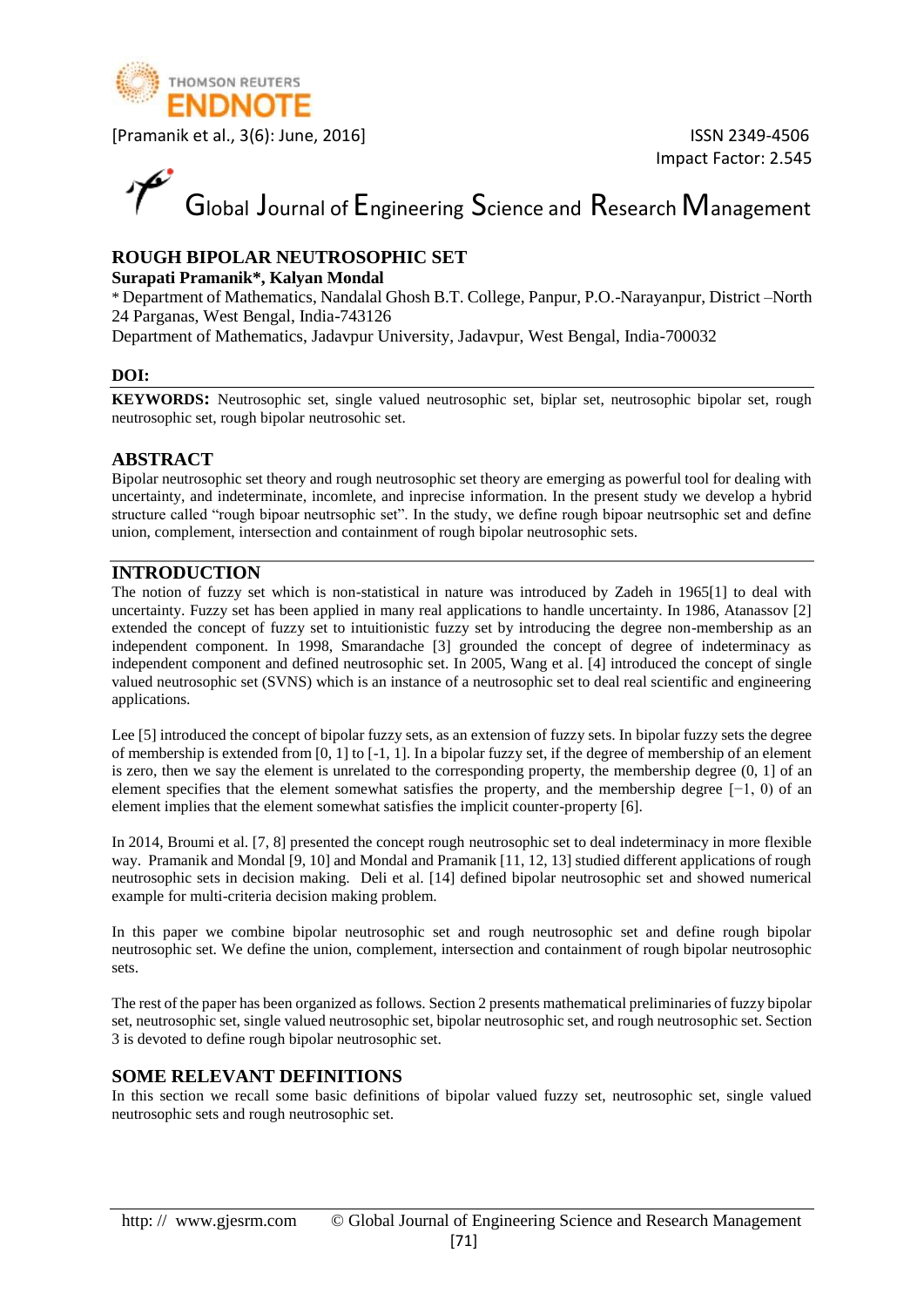

# Global Journal of Engineering Science and Research Management

#### **ROUGH BIPOLAR NEUTROSOPHIC SET**

#### **Surapati Pramanik\*, Kalyan Mondal**

\* Department of Mathematics, Nandalal Ghosh B.T. College, Panpur, P.O.-Narayanpur, District –North 24 Parganas, West Bengal, India-743126

Department of Mathematics, Jadavpur University, Jadavpur, West Bengal, India-700032

#### **DOI:**

**KEYWORDS:** Neutrosophic set, single valued neutrosophic set, biplar set, neutrosophic bipolar set, rough neutrosophic set, rough bipolar neutrosohic set.

#### **ABSTRACT**

Bipolar neutrosophic set theory and rough neutrosophic set theory are emerging as powerful tool for dealing with uncertainty, and indeterminate, incomlete, and inprecise information. In the present study we develop a hybrid structure called "rough bipoar neutrsophic set". In the study, we define rough bipoar neutrsophic set and define union, complement, intersection and containment of rough bipolar neutrosophic sets.

#### **INTRODUCTION**

The notion of fuzzy set which is non-statistical in nature was introduced by Zadeh in 1965[1] to deal with uncertainty. Fuzzy set has been applied in many real applications to handle uncertainty. In 1986, Atanassov [2] extended the concept of fuzzy set to intuitionistic fuzzy set by introducing the degree non-membership as an independent component. In 1998, Smarandache [3] grounded the concept of degree of indeterminacy as independent component and defined neutrosophic set. In 2005, Wang et al. [4] introduced the concept of single valued neutrosophic set (SVNS) which is an instance of a neutrosophic set to deal real scientific and engineering applications.

Lee [5] introduced the concept of bipolar fuzzy sets, as an extension of fuzzy sets. In bipolar fuzzy sets the degree of membership is extended from [0, 1] to [-1, 1]. In a bipolar fuzzy set, if the degree of membership of an element is zero, then we say the element is unrelated to the corresponding property, the membership degree (0, 1] of an element specifies that the element somewhat satisfies the property, and the membership degree [−1, 0) of an element implies that the element somewhat satisfies the implicit counter-property [6].

In 2014, Broumi et al. [7, 8] presented the concept rough neutrosophic set to deal indeterminacy in more flexible way. Pramanik and Mondal [9, 10] and Mondal and Pramanik [11, 12, 13] studied different applications of rough neutrosophic sets in decision making. Deli et al. [14] defined bipolar neutrosophic set and showed numerical example for multi-criteria decision making problem.

In this paper we combine bipolar neutrosophic set and rough neutrosophic set and define rough bipolar neutrosophic set. We define the union, complement, intersection and containment of rough bipolar neutrosophic sets.

The rest of the paper has been organized as follows. Section 2 presents mathematical preliminaries of fuzzy bipolar set, neutrosophic set, single valued neutrosophic set, bipolar neutrosophic set, and rough neutrosophic set. Section 3 is devoted to define rough bipolar neutrosophic set.

#### **SOME RELEVANT DEFINITIONS**

In this section we recall some basic definitions of bipolar valued fuzzy set, neutrosophic set, single valued neutrosophic sets and rough neutrosophic set.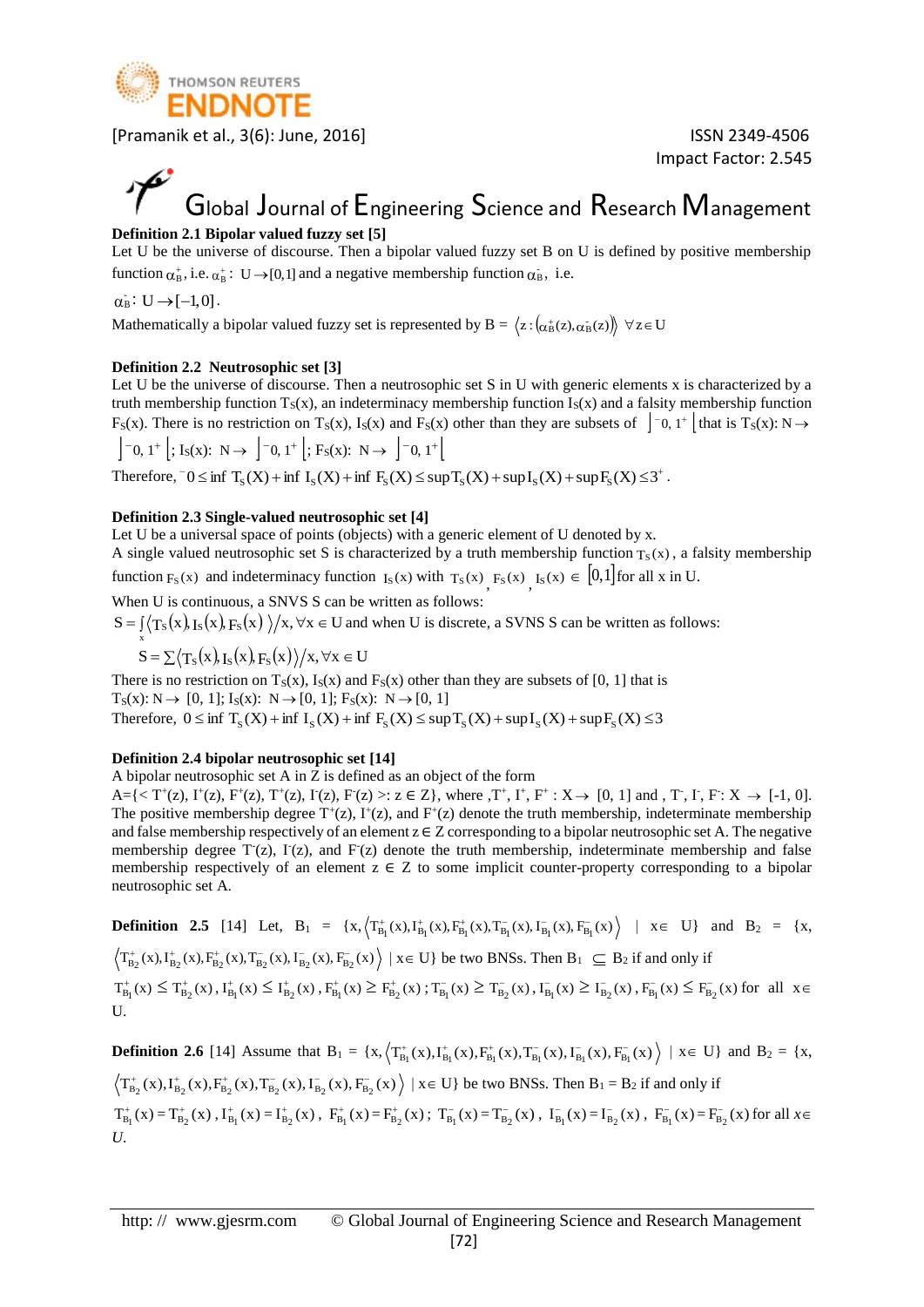

Impact Factor: 2.545

### Global Journal of Engineering Science and Research Management **Definition 2.1 Bipolar valued fuzzy set [5]**

Let U be the universe of discourse. Then a bipolar valued fuzzy set B on U is defined by positive membership function  $\alpha_{\rm B}^*$ , i.e.  $\alpha_{\rm B}^*$ : U  $\rightarrow$  [0,1] and a negative membership function  $\alpha_{\rm B}$ , i.e.

 $\alpha_B : U \rightarrow [-1,0]$ .

x

Mathematically a bipolar valued fuzzy set is represented by B =  $\langle z\!:\!(\alpha_B^+(z),\alpha_B^-(z))\!\rangle\,\,\forall\,z\!\in\!U$ 

#### **Definition 2.2 Neutrosophic set [3]**

Let U be the universe of discourse. Then a neutrosophic set S in U with generic elements x is characterized by a truth membership function  $T_S(x)$ , an indeterminacy membership function  $I_S(x)$  and a falsity membership function F<sub>S</sub>(x). There is no restriction on T<sub>S</sub>(x), I<sub>S</sub>(x) and F<sub>S</sub>(x) other than they are subsets of  $\int$ <sup>-</sup>0, 1<sup>+</sup>  $\int$  that is T<sub>S</sub>(x): N  $\rightarrow$ 

$$
\left] -0, 1^{+} \right[ ; I_{S}(x): N \rightarrow \left] -0, 1^{+} \right[ ; F_{S}(x): N \rightarrow \left] -0, 1^{+} \right[
$$

Therefore,  $-0 \le \inf T_S(X) + \inf I_S(X) + \inf F_S(X) \le \sup T_S(X) + \sup I_S(X) + \sup F_S(X) \le 3^+$ .

#### **Definition 2.3 Single-valued neutrosophic set [4]**

Let U be a universal space of points (objects) with a generic element of U denoted by x.

A single valued neutrosophic set S is characterized by a truth membership function  $T_S(x)$ , a falsity membership function  $F_S(x)$  and indeterminacy function  $I_S(x)$  with  $T_S(x)$ ,  $F_S(x)$ ,  $I_S(x) \in [0,1]$  for all x in U.

When U is continuous, a SNVS S can be written as follows:

 $S = \int \langle T_S(x), I_S(x), F_S(x) \rangle / x, \forall x \in U$  and when U is discrete, a SVNS S can be written as follows:

$$
S = \sum \langle T_s(x), I_s(x), F_s(x) \rangle / x, \forall x \in U
$$

There is no restriction on  $T_S(x)$ ,  $I_S(x)$  and  $F_S(x)$  other than they are subsets of [0, 1] that is  $T_S(x): N \to [0, 1]; I_S(x): N \to [0, 1]; F_S(x): N \to [0, 1]$ Therefore,  $0 \le \inf T_S(X) + \inf I_S(X) + \inf F_S(X) \le \sup T_S(X) + \sup I_S(X) + \sup F_S(X) \le 3$ 

#### **Definition 2.4 bipolar neutrosophic set [14]**

A bipolar neutrosophic set A in Z is defined as an object of the form

 $A = \{ \langle T^+(z), I^+(z), F^+(z), T^+(z), I^-(z), F^-(z) \rangle : z \in \mathbb{Z} \}$ , where  $T^+, I^+, F^+ : X \to [0, 1]$  and  $T^-, I^-, F^+ : X \to [-1, 0]$ . The positive membership degree  $T^+(z)$ ,  $I^+(z)$ , and  $F^+(z)$  denote the truth membership, indeterminate membership and false membership respectively of an element  $z \in \mathbb{Z}$  corresponding to a bipolar neutrosophic set A. The negative membership degree T<sup>-</sup>(z), I<sup>-</sup>(z), and F<sup>-</sup>(z) denote the truth membership, indeterminate membership and false membership respectively of an element  $z \in Z$  to some implicit counter-property corresponding to a bipolar neutrosophic set A.

**Definition 2.5** [14] Let,  $B_1 = \{x, (\mathcal{T}_{B_1}^+(x), \mathcal{I}_{B_1}^+(x), \mathcal{F}_{B_1}^+(x), \mathcal{T}_{B_1}^-(x), \mathcal{T}_{B_1}^-(x), \mathcal{F}_{B_1}^-(x)) | x \in U \}$  and  $B_2 = \{x, (\mathcal{T}_{B_1}^+(x), \mathcal{T}_{B_1}^-(x), \mathcal{T}_{B_1}^-(x), \mathcal{T}_{B_1}^-(x), \mathcal{T}_{B_1}^-(x)) | x \in U \}$ 

 $T_{B_2}^*(x)$ ,  $I_{B_2}^*(x)$ ,  $F_{B_2}^*(x)$ ,  $T_{B_2}^*(x)$ ,  $F_{B_2}^*(x)$  |  $x \in U$ } be two BNSs. Then  $B_1 \subseteq B_2$  if and only if

 $T_{B_1}^*(x) \leq T_{B_2}^*(x)$ ,  $I_{B_1}^*(x) \leq I_{B_2}^*(x)$ ,  $F_{B_1}^*(x) \geq F_{B_2}^*(x)$ ;  $T_{B_1}^*(x) \geq T_{B_2}^*(x)$ ,  $I_{B_1}^*(x) \geq I_{B_2}^*(x)$ ,  $F_{B_1}^*(x) \leq F_{B_2}^*(x)$  for all  $x \in$ U.

**Definition 2.6** [14] Assume that  $B_1 = \{x, (\mathcal{T}_{B_1}^+(x), \mathcal{T}_{B_1}^+(x), \mathcal{F}_{B_1}^-(x), \mathcal{T}_{B_1}^-(x), \mathcal{T}_{B_1}^-(x), \mathcal{F}_{B_1}^-(x)) | x \in U \}$  and  $B_2 = \{x, (\mathcal{T}_{B_1}^+(x), \mathcal{T}_{B_1}^-(x), \mathcal{T}_{B_1}^-(x), \mathcal{T}_{B_1}^-(x), \mathcal{T}_{B_1}^-(x)) | x \in U \}$ 

 $T_{B_2}^*(x)$ ,  $I_{B_2}^*(x)$ ,  $F_{B_2}^*(x)$ ,  $T_{B_2}^*(x)$ ,  $I_{B_2}^*(x)$ ,  $F_{B_2}^*(x)$  |  $x \in U$ } be two BNSs. Then  $B_1 = B_2$  if and only if  $T_{B_1}^*(x) = T_{B_2}^*(x)$ ,  $I_{B_1}^*(x) = I_{B_2}^*(x)$ ,  $F_{B_1}^*(x) = F_{B_2}^*(x)$ ;  $T_{B_1}^*(x) = T_{B_2}^*(x)$ ,  $I_{B_1}^*(x) = I_{B_2}^*(x)$ ,  $F_{B_1}^*(x) = F_{B_2}^*(x)$  for all  $x \in$ *U*.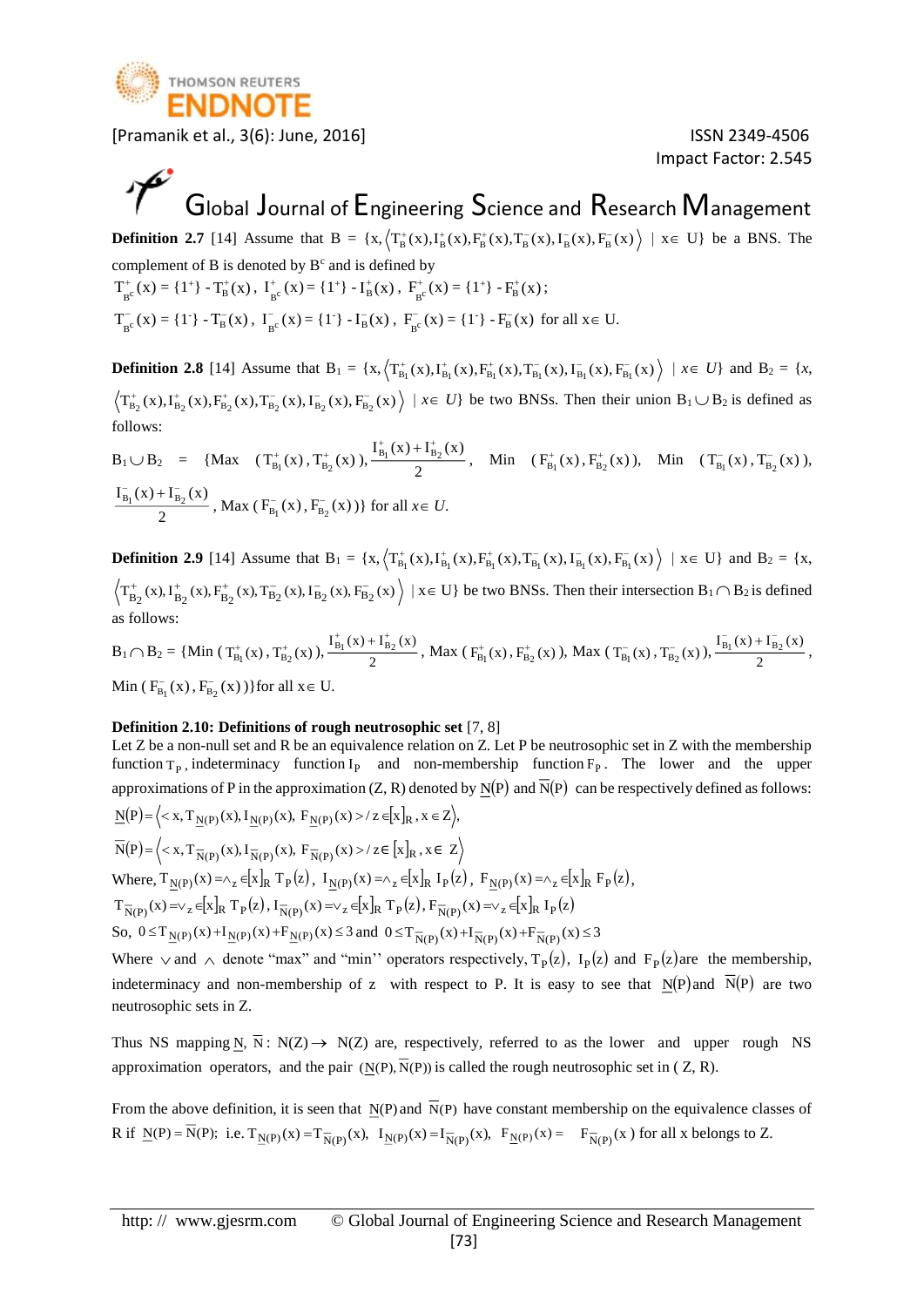

Impact Factor: 2.545

## Global Journal of Engineering Science and Research Management

**Definition 2.7** [14] Assume that  $B = \{x, (T_B^+(x), I_B^+(x), T_B^-(x), T_B^-(x), I_B^-(x), F_B^-(x)) \mid x \in U\}$  be a BNS. The complement of B is denoted by  $B<sup>c</sup>$  and is defined by  $T_{B^c}^+(x) = \{1^+\} - T_B^+(x)$ ,  $I_{B^c}^+(x) = \{1^+\} - I_B^+(x)$ ,  $F_{B^c}^+(x) = \{1^+\} - F_B^+(x)$ ;

 $T_{B}^{-}(x) = \{1^{\circ}\} - T_{B}^{-}(x)$ ,  $I_{B}^{-}(x) = \{1^{\circ}\} - I_{B}^{-}(x)$ ,  $F_{B}^{-}(x) = \{1^{\circ}\} - F_{B}^{-}(x)$  for all  $x \in U$ .

**Definition 2.8** [14] Assume that  $B_1 = \{x, \left\langle T^+_{B_1}(x), T^+_{B_1}(x), T^-_{B_1}(x), T^-_{B_1}(x), T^-_{B_1}(x), F^-_{B_1}(x) \right\rangle \mid x \in U\}$  and  $B_2 = \{x, \left\langle T^+_{B_1}(x), T^+_{B_1}(x), T^-_{B_1}(x), T^-_{B_1}(x), T^-_{B_1}(x), T^-_{B_1}(x) \right\rangle$  $T_{B_2}^*(x)$ ,  $I_{B_2}^*(x)$ ,  $F_{B_2}^*(x)$ ,  $T_{B_2}^*(x)$ ,  $F_{B_2}^*(x)$ ,  $F_{B_2}^*(x)$  be two BNSs. Then their union  $B_1 \cup B_2$  is defined as follows:

$$
B_1 \cup B_2 = \{ Max \ (T^+_{B_1}(x), T^+_{B_2}(x)), \frac{I^+_{B_1}(x) + I^+_{B_2}(x)}{2}, \text{ Min } (F^+_{B_1}(x), F^+_{B_2}(x)), \text{ Min } (T^-_{B_1}(x), T^-_{B_2}(x)), \frac{I^-_{B_1}(x) + I^-_{B_2}(x)}{2}, \text{ Max } (F^-_{B_1}(x), F^-_{B_2}(x)) \} \text{ for all } x \in U.
$$

**Definition 2.9** [14] Assume that  $B_1 = \{x, (\mathcal{T}_{B_1}^+(x), \mathcal{T}_{B_1}^+(x), \mathcal{F}_{B_1}^-(x), \mathcal{T}_{B_1}^-(x), \mathcal{T}_{B_1}^-(x), \mathcal{F}_{B_1}^-(x)) | x \in U \}$  and  $B_2 = \{x, \mathcal{T}_{B_2}^+(x), \mathcal{T}_{B_2}^-(x), \mathcal{T}_{B_2}^-(x), \mathcal{T}_{B_2}^-(x), \mathcal{T}_{B_2}^-(x) \}$  $T_{B_2}^+(x)$ ,  $T_{B_2}^+(x)$ ,  $F_{B_2}^-(x)$ ,  $T_{B_2}^-(x)$ ,  $F_{B_2}^-(x)$  |  $x \in U$ } be two BNSs. Then their intersection  $B_1 \cap B_2$  is defined as follows:

 $B_1 \cap B_2 = \{ \text{Min } (T_{B_1}^+(x), T_{B_2}^+(x)), \frac{B_1(x)}{2} \}$  $\frac{\prod_{B_1}^{+}(x) + \prod_{B_2}^{+}(x)}{2}$ , Max ( $F_{B_1}^{+}(x)$ ,  $F_{B_2}^{+}(x)$ ), Max ( $T_{B_1}^{-}(x)$ ,  $T_{B_2}^{-}(x)$ ),  $\frac{\prod_{B_1}^{-}(x) + \prod_{B_2}^{-}(x)}{2}$  $\frac{\overline{I_{B_1}}(x) + \overline{I_{B_2}}(x)}{2}$ , Min ( $F_{B_1}^-(x)$ ,  $F_{B_2}^-(x)$ )} for all  $x \in U$ .

#### **Definition 2.10: Definitions of rough neutrosophic set** [7, 8]

Let Z be a non-null set and R be an equivalence relation on Z. Let P be neutrosophic set in Z with the membership function  $T_P$ , indeterminacy function  $I_P$  and non-membership function  $F_P$ . The lower and the upper approximations of P in the approximation (Z, R) denoted by  $\underline{N}(P)$  and  $\overline{N}(P)$  can be respectively defined as follows:  $\underline{N}(P) = \langle x, T_{N(P)}(x), I_{N(P)}(x), F_{N(P)}(x) \rangle / z \in [x]_R, x \in Z \rangle,$ 

$$
\overline{N}(P) = \left\langle \langle x, T_{\overline{N}(P)}(x), I_{\overline{N}(P)}(x), F_{\overline{N}(P)}(x) \rangle / z \in [x]_R, x \in Z \right\rangle
$$
\nWhere,  $T_{\underline{N}(P)}(x) = \wedge_z \in [x]_R T_P(z)$ ,  $I_{\underline{N}(P)}(x) = \wedge_z \in [x]_R I_P(z)$ ,  $F_{\underline{N}(P)}(x) = \wedge_z \in [x]_R F_P(z)$ ,  
\n $T_{\overline{N}(P)}(x) = \vee_z \in [x]_R T_P(z)$ ,  $I_{\overline{N}(P)}(x) = \vee_z \in [x]_R T_P(z)$ ,  $F_{\overline{N}(P)}(x) = \vee_z \in [x]_R I_P(z)$   
\nSo,  $0 \le T_{\underline{N}(P)}(x) + I_{\underline{N}(P)}(x) + F_{\underline{N}(P)}(x) \le 3$  and  $0 \le T_{\overline{N}(P)}(x) + I_{\overline{N}(P)}(x) + F_{\overline{N}(P)}(x) \le 3$ 

Where  $\vee$  and  $\wedge$  denote "max" and "min" operators respectively, T<sub>P</sub>(z), I<sub>P</sub>(z) and F<sub>P</sub>(z) are the membership, indeterminacy and non-membership of z with respect to P. It is easy to see that  $N(P)$  and  $N(P)$  are two neutrosophic sets in Z.

Thus NS mapping N,  $\overline{N}$ : N(Z)  $\rightarrow$  N(Z) are, respectively, referred to as the lower and upper rough NS approximation operators, and the pair  $(N(P), N(P))$  is called the rough neutrosophic set in  $(Z, R)$ .

From the above definition, it is seen that  $N(P)$  and  $N(P)$  have constant membership on the equivalence classes of R if  $\underline{N}(P) = N(P)$ ; i.e.  $T_{\underline{N}(P)}(x) = T_{\overline{N}(P)}(x)$ ,  $I_{\underline{N}(P)}(x) = I_{\overline{N}(P)}(x)$ ,  $F_{\underline{N}(P)}(x) = F_{\overline{N}(P)}(x)$  for all x belongs to Z.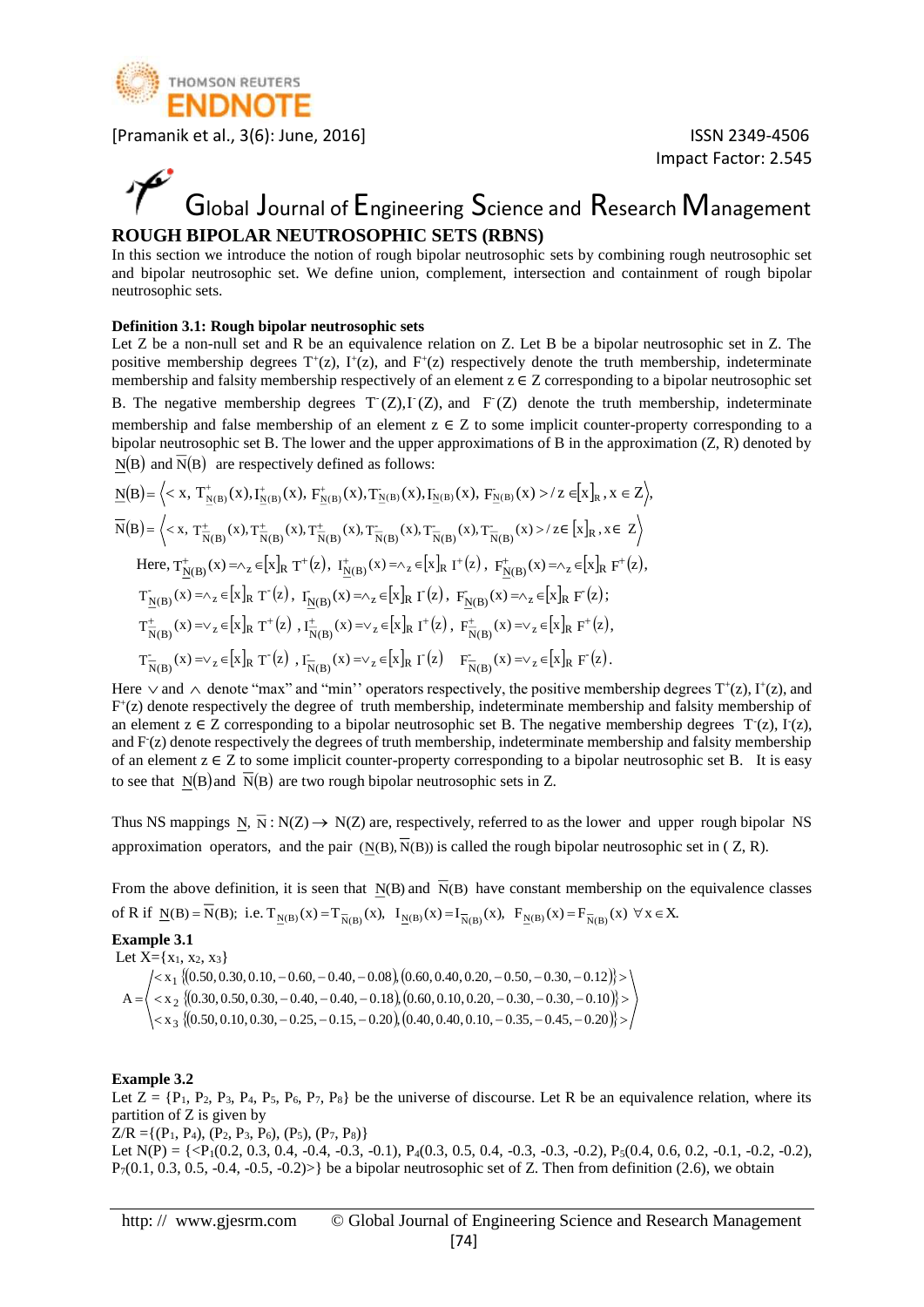

### Global Journal of Engineering Science and Research Management **ROUGH BIPOLAR NEUTROSOPHIC SETS (RBNS)**

In this section we introduce the notion of rough bipolar neutrosophic sets by combining rough neutrosophic set and bipolar neutrosophic set. We define union, complement, intersection and containment of rough bipolar neutrosophic sets.

#### **Definition 3.1: Rough bipolar neutrosophic sets**

Let Z be a non-null set and R be an equivalence relation on Z. Let B be a bipolar neutrosophic set in Z. The positive membership degrees  $T^+(z)$ ,  $I^+(z)$ , and  $F^+(z)$  respectively denote the truth membership, indeterminate membership and falsity membership respectively of an element  $z \in Z$  corresponding to a bipolar neutrosophic set

B. The negative membership degrees  $T'(Z), I'(Z)$ , and  $F'(Z)$  denote the truth membership, indeterminate membership and false membership of an element  $z \in Z$  to some implicit counter-property corresponding to a bipolar neutrosophic set B. The lower and the upper approximations of B in the approximation (Z, R) denoted by  $N(B)$  and  $\overline{N}(B)$  are respectively defined as follows:

$$
\underline{N}(B) = \Big\langle \langle x, T^+_{N(B)}(x), I^+_{N(B)}(x), F^+_{N(B)}(x), T^-_{N(B)}(x), I^-_{N(B)}(x), F^-_{N(B)}(x) \rangle \Big\rangle Z \in [x]_R, x \in Z \Big\rangle,
$$
\n
$$
\overline{N}(B) = \Big\langle \langle x, T^+_{N(B)}(x), T^+_{N(B)}(x), T^-_{N(B)}(x), T^-_{N(B)}(x), T^-_{N(B)}(x), T^-_{N(B)}(x) \rangle \Big\rangle Z \in [x]_R, x \in Z \Big\rangle
$$
\nHere, 
$$
T^+_{N(B)}(x) = \Big\langle x, T^+_{N(B)}(x), T^+_{N(B)}(x), T^-_{N(B)}(x), T^-_{N(B)}(x), T^-_{N(B)}(x) \rangle \Big\rangle Z \in [x]_R, F^+(z), T^-_{N(B)}(x) \Big\rangle Z \Big\rangle Z \in [x]_R, F^+(z), T^-_{N(B)}(x) \Big\rangle Z \Big\rangle
$$
\n
$$
T^-_{N(B)}(x) = \Big\langle x, T^+(z), T^-_{N(B)}(x), T^-_{N(B)}(x) \Big\rangle Z \in [x]_R, T^+(z), T^+_{N(B)}(x) \Big\rangle Z \in [x]_R, F^+(z), T^-_{N(B)}(x) \Big\rangle Z \in [x]_R, F^+(z), T^-_{N(B)}(x) \Big\rangle Z \in [x]_R, F^+(z), T^-_{N(B)}(x) \Big\rangle Z \in [x]_R, F^+(z) \Big\rangle
$$

Here  $\vee$  and  $\wedge$  denote "max" and "min" operators respectively, the positive membership degrees T<sup>+</sup>(z), I<sup>+</sup>(z), and F + (z) denote respectively the degree of truth membership, indeterminate membership and falsity membership of an element  $z \in Z$  corresponding to a bipolar neutrosophic set B. The negative membership degrees  $T(z)$ ,  $I(z)$ , and F(z) denote respectively the degrees of truth membership, indeterminate membership and falsity membership of an element  $z \in Z$  to some implicit counter-property corresponding to a bipolar neutrosophic set B. It is easy to see that  $\underline{N}(B)$  and  $\overline{N}(B)$  are two rough bipolar neutrosophic sets in Z.

Thus NS mappings N,  $\overline{N}$ : N(Z)  $\rightarrow$  N(Z) are, respectively, referred to as the lower and upper rough bipolar NS approximation operators, and the pair  $(N(B), N(B))$  is called the rough bipolar neutrosophic set in  $(Z, R)$ .

From the above definition, it is seen that  $N(B)$  and  $\overline{N}(B)$  have constant membership on the equivalence classes of R if  $\underline{N}(B) = N(B);$  i.e.  $T_{\underline{N}(B)}(x) = T_{\overline{N}(B)}(x)$ ,  $I_{\underline{N}(B)}(x) = I_{\overline{N}(B)}(x)$ ,  $F_{\underline{N}(B)}(x) = F_{\overline{N}(B)}(x) \forall x \in X$ .

#### **Example 3.1**

Let  $X = \{x_1, x_2, x_3\}$  $\{(0.50, 0.30, 0.10, -0.60, -0.40, -0.08), (0.60, 0.40, 0.20, -0.50, -0.30, -0.12)\}$  $\{(0.30, 0.50, 0.30, -0.40, -0.40, -0.18), (0.60, 0.10, 0.20, -0.30, -0.30, -0.10)\}$  $\langle x_3 \{ (0.50, 0.10, 0.30, -0.25, -0.15, -0.20), (0.40, 0.40, 0.10, -0.35, -0.45, -0.20) \} \rangle$  $\leq$  x  $_{2}$  3(0, 30, 0, 50, 0, 30, -0, 40, -0, 40, -0, 18), 10, 60, 0, 10, 0, 20, -0, 30, -0, 30, -0, 10 }  $>$  $\leq$  x  $_1$  3(0,50, 0,30, 0,10, - 0,60, - 0,40, - 0,08), (0,60, 0,40, 0,20, - 0,50, - 0,30, - 0,12)}  $\geq$  $\begin{aligned} \left\{ \begin{array}{l} \langle 8.32, \langle 0.50, 0.50, 0.50, -0.40, -0.40, -0.18 \rangle, (0.50, 0.10, 0.20, -0.30, -0.30, -0.10, \\ \langle 8.3, \langle 0.50, 0.10, 0.30, -0.25, -0.15, -0.20 \rangle, (0.40, 0.40, 0.10, -0.35, -0.45, -0.20, \end{array} \right\} \end{aligned}$  $x_2$  {{0.30, 0.50, 0.30, -0.40, -0.40, -0.18}, (0.60, 0.10, 0.20, -0.30, -0.30, -0.10}  $x_1$  {{0.50, 0.30, 0.10, -0.60, -0.40, -0.08}, {0.60, 0.40, 0.20, -0.50, -0.30, -0.12} A 3 2 1

#### **Example 3.2**

Let  $Z = \{P_1, P_2, P_3, P_4, P_5, P_6, P_7, P_8\}$  be the universe of discourse. Let R be an equivalence relation, where its partition of Z is given by  $Z/R = \{(P_1, P_4), (P_2, P_3, P_6), (P_5), (P_7, P_8)\}\$ Let N(P) = {<P1(0.2, 0.3, 0.4, -0.4, -0.3, -0.1), P4(0.3, 0.5, 0.4, -0.3, -0.3, -0.2), P5(0.4, 0.6, 0.2, -0.1, -0.2, -0.2),

 $P_7(0.1, 0.3, 0.5, -0.4, -0.5, -0.2)$  be a bipolar neutrosophic set of Z. Then from definition (2.6), we obtain

http: // www.gjesrm.com © Global Journal of Engineering Science and Research Management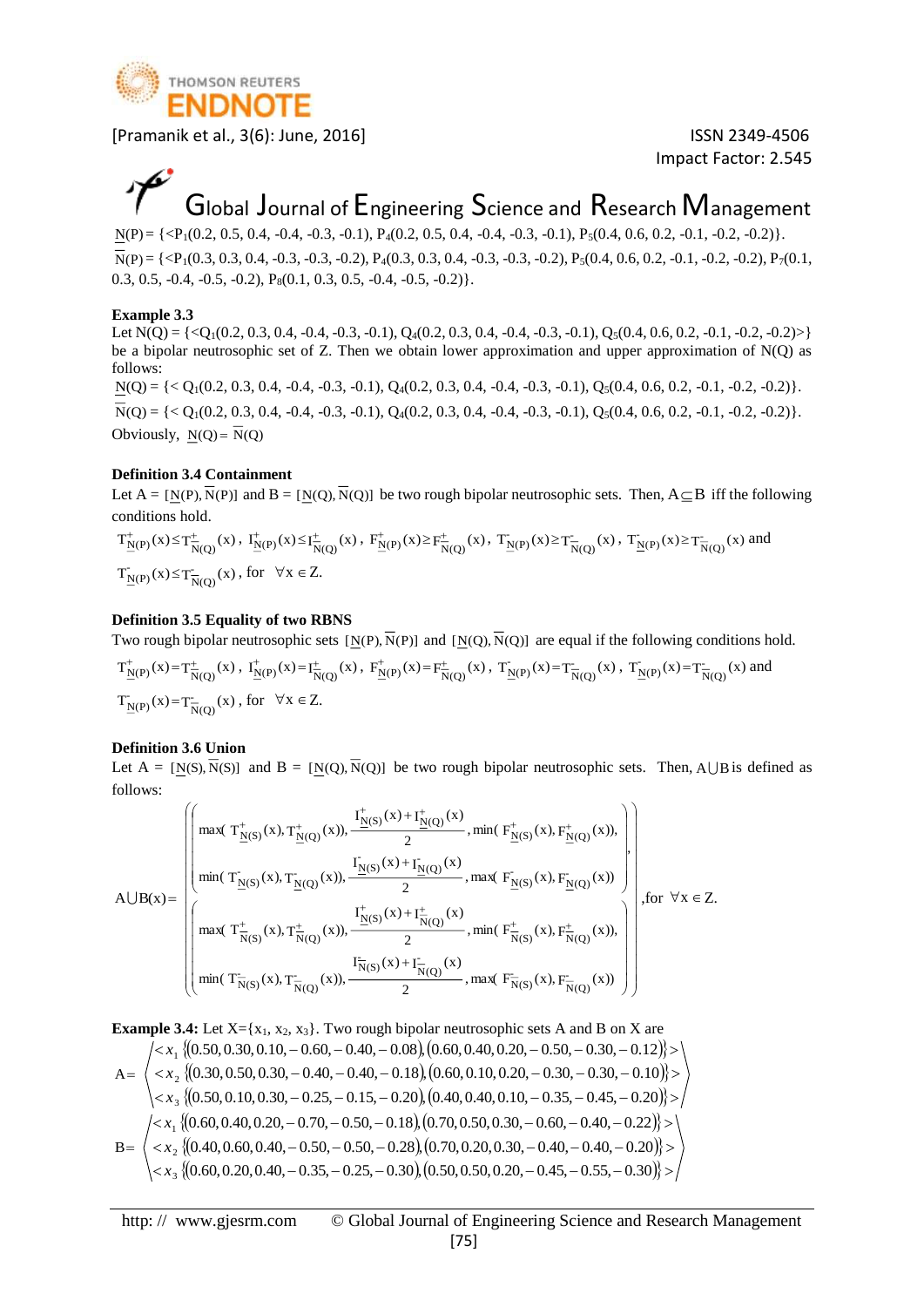

Impact Factor: 2.545

## Global Journal of Engineering Science and Research Management

 $N(P) = \{ \langle P_1(0.2, 0.5, 0.4, -0.4, -0.3, -0.1), P_4(0.2, 0.5, 0.4, -0.4, -0.3, -0.1), P_5(0.4, 0.6, 0.2, -0.1, -0.2, -0.2) \}.$ 

 $N(P) = \{ \langle P_1(0.3, 0.3, 0.4, -0.3, -0.3, -0.2), P_4(0.3, 0.3, 0.4, -0.3, -0.2), P_5(0.4, 0.6, 0.2, -0.1, -0.2, -0.2), P_7(0.1, -0.2, -0.2), P_8(0.4, 0.4, -0.2, -0.2), P_{10}(0.4, 0.4, -0.2, -0.2), P_{11}(0.4, 0.4, -0.2, -0.2), P_{12}(0.4, 0.4, -0.2, -0.2), P_{13}($ 0.3, 0.5, -0.4, -0.5, -0.2),  $P_8(0.1, 0.3, 0.5, -0.4, -0.5, -0.2)$ .

#### **Example 3.3**

Let  $N(Q) = \{$ be a bipolar neutrosophic set of Z. Then we obtain lower approximation and upper approximation of  $N(Q)$  as follows:

 $N(Q) = \{ < Q_1(0.2, 0.3, 0.4, -0.4, -0.3, -0.1), Q_4(0.2, 0.3, 0.4, -0.4, -0.3, -0.1), Q_5(0.4, 0.6, 0.2, -0.1, -0.2, -0.2) \}.$  $N(Q) = \{ < Q_1(0.2, 0.3, 0.4, -0.4, -0.3, -0.1), Q_4(0.2, 0.3, 0.4, -0.4, -0.3, -0.1), Q_5(0.4, 0.6, 0.2, -0.1, -0.2, -0.2) \}.$ Obviously,  $N(Q) = N(Q)$ 

#### **Definition 3.4 Containment**

Let  $A = [N(P), N(P)]$  and  $B = [N(Q), N(Q)]$  be two rough bipolar neutrosophic sets. Then,  $A \subseteq B$  iff the following conditions hold.

 $T^+_{\underline{N}(P)}(x) \le T^+_{\overline{N}(Q)}(x)$ ,  $I^+_{\underline{N}(P)}(x) \le I^+_{\overline{N}(Q)}(x)$ ,  $F^+_{\underline{N}(P)}(x) \ge F^+_{\overline{N}(Q)}(x)$ ,  $T^-_{\underline{N}(P)}(x) \ge T^-_{\overline{N}(Q)}(x)$ ,  $T^{\prime}_{\underline{N}(P)}(x) \ge T^-_{\overline{N}(Q)}(x)$  and  $T_{\underline{N}(P)}(x) \leq T_{\overline{N}(Q)}(x)$ , for  $\forall x \in Z$ .

#### **Definition 3.5 Equality of two RBNS**

Two rough bipolar neutrosophic sets  $[N(P), N(P)]$  and  $[N(Q), N(Q)]$  are equal if the following conditions hold.

$$
T^+_{\underline{N}(P)}(x) = T^+_{\overline{N}(Q)}(x), \quad T^+_{\underline{N}(P)}(x) = T^+_{\overline{N}(Q)}(x), \quad F^+_{\underline{N}(P)}(x) = F^+_{\overline{N}(Q)}(x), \quad T^-_{\underline{N}(P)}(x) = T^-_{\overline{N}(Q)}(x), \quad T^-_{\underline{N}(P)}(x) = T^-_{\overline{N}(Q)}(x)
$$
 and 
$$
T^-_{\underline{N}(P)}(x) = T^-_{\overline{N}(Q)}(x), \quad \text{for} \quad \forall x \in \mathbb{Z}.
$$

#### **Definition 3.6 Union**

Let  $A = [N(S), N(S)]$  and  $B = [N(Q), N(Q)]$  be two rough bipolar neutrosophic sets. Then, AUB is defined as follows:

$$
A \cup B(x) = \left(\begin{pmatrix} \max(T_{\underline{N}(S)}^{+}(x), T_{\underline{N}(Q)}^{+}(x)), \frac{\Gamma_{\underline{N}(S)}^{+}(x) + \Gamma_{\underline{N}(Q)}^{+}(x)}{2}, \min(F_{\underline{N}(S)}^{+}(x), F_{\underline{N}(Q)}^{+}(x)), \\ \min(T_{\underline{N}(S)}^{-}(x), T_{\underline{N}(Q)}^{-}(x)), \frac{\Gamma_{\underline{N}(S)}^{-}(x) + \Gamma_{\underline{N}(Q)}^{-}(x)}{2}, \max(F_{\underline{N}(S)}^{-}(x), F_{\underline{N}(Q)}^{-}(x)) \\ \max(T_{\overline{N}(S)}^{+}(x), T_{\overline{N}(Q)}^{+}(x)), \frac{\Gamma_{\underline{N}(S)}^{+}(x) + \Gamma_{\overline{N}(Q)}^{+}(x)}{2}, \min(F_{\overline{N}(S)}^{+}(x), F_{\overline{N}(Q)}^{+}(x)), \\ \min(T_{\overline{N}(S)}^{-}(x), T_{\overline{N}(Q)}^{-}(x)), \frac{\Gamma_{\overline{N}(S)}^{-}(x) + \Gamma_{\overline{N}(Q)}^{-}(x)}{2}, \max(F_{\overline{N}(S)}^{-}(x), F_{\overline{N}(Q)}^{-}(x)) \end{pmatrix}\right), for \forall x \in \mathbb{Z}.
$$

**Example 3.4:** Let X= {x<sub>1</sub>, x<sub>2</sub>, x<sub>3</sub>}. Two rough bipolar neutrosophic sets A and B on X are  
\n
$$
\begin{aligned}\n&\langle x_1 \{ (0.50, 0.30, 0.10, -0.60, -0.40, -0.08), (0.60, 0.40, 0.20, -0.50, -0.30, -0.12) \} \rangle \\
&\langle x_2 \{ (0.30, 0.50, 0.30, -0.40, -0.40, -0.18), (0.60, 0.10, 0.20, -0.30, -0.30, -0.10) \} \rangle \rangle \\
&\langle x_3 \{ (0.50, 0.10, 0.30, -0.25, -0.15, -0.20), (0.40, 0.40, 0.10, -0.35, -0.45, -0.20) \} \rangle \rangle \\
&\langle x_4 \{ (0.60, 0.40, 0.20, -0.70, -0.50, -0.18), (0.70, 0.50, 0.30, -0.60, -0.40, -0.22) \} \rangle \rangle \\
&\langle x_5 \{ (0.40, 0.60, 0.40, -0.50, -0.50, -0.28), (0.70, 0.20, 0.30, -0.40, -0.40, -0.20) \} \rangle \rangle \\
&\langle x_3 \{ (0.60, 0.20, 0.40, -0.35, -0.25, -0.30), (0.50, 0.50, 0.20, -0.45, -0.55, -0.30) \} \rangle \rangle\n\end{aligned}
$$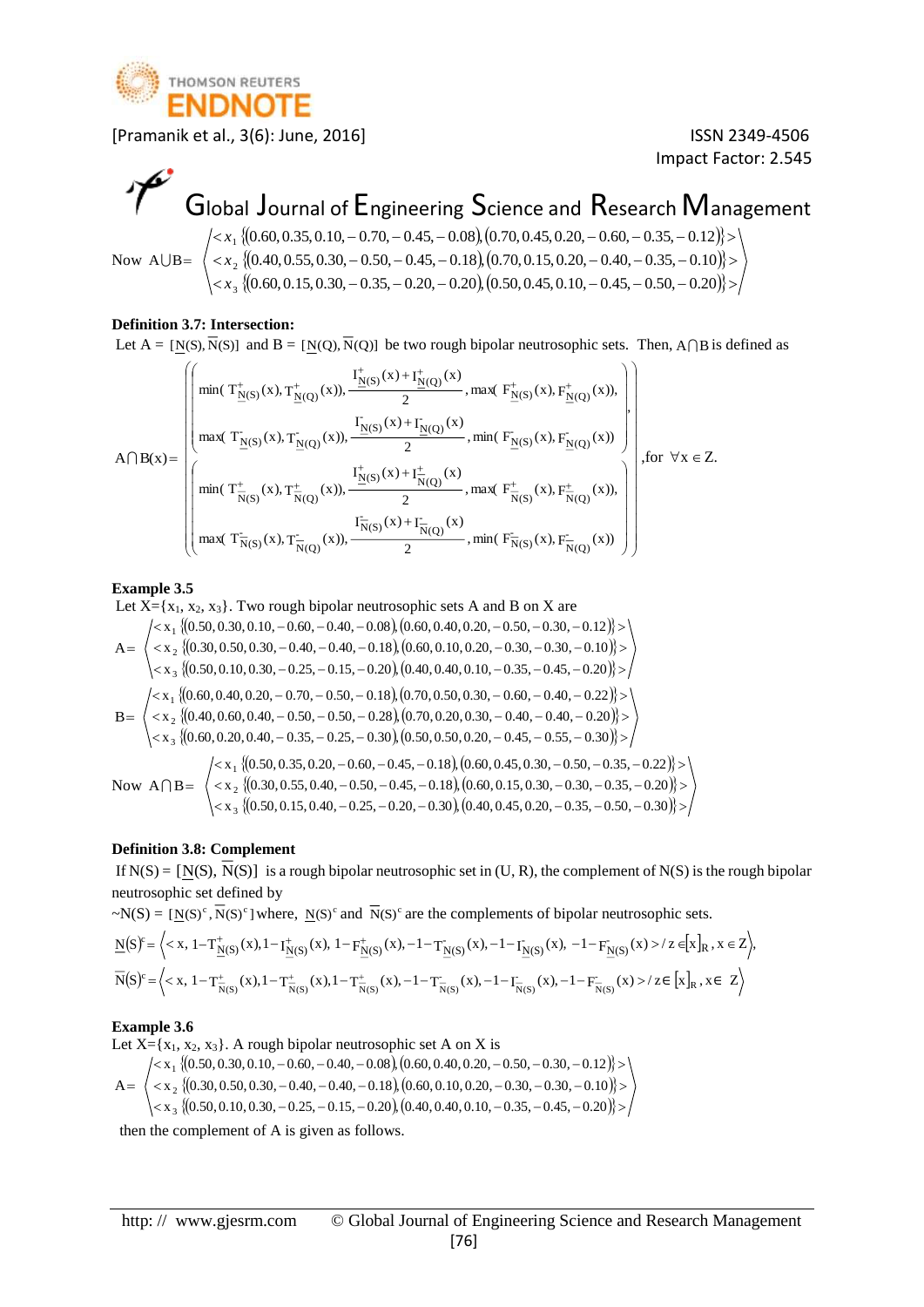

Impact Factor: 2.545

# Global Journal of Engineering Science and Research Management

Now AUB = 
$$
\begin{pmatrix} < x_1 \{ (0.60, 0.35, 0.10, -0.70, -0.45, -0.08), (0.70, 0.45, 0.20, -0.60, -0.35, -0.12) \} > \\ < x_2 \{ (0.40, 0.55, 0.30, -0.50, -0.45, -0.18), (0.70, 0.15, 0.20, -0.40, -0.35, -0.10) \} > \\ < x_3 \{ (0.60, 0.15, 0.30, -0.35, -0.20, -0.20), (0.50, 0.45, 0.10, -0.45, -0.50, -0.20) \} > \end{pmatrix}
$$

#### **Definition 3.7: Intersection:**

Let  $A = [N(S), N(S)]$  and  $B = [N(Q), N(Q)]$  be two rough bipolar neutrosophic sets. Then,  $A \cap B$  is defined as

$$
A\bigcap B(x)=\left(\begin{pmatrix} \min(T_{\underline{N}(S)}^{+}(x),T_{\underline{N}(Q)}^{+}(x)),\frac{\Gamma_{\underline{N}(S)}^{+}(x)+\Gamma_{\underline{N}(Q)}^{+}(x)}{2},\max(F_{\underline{N}(S)}^{+}(x),F_{\underline{N}(Q)}^{+}(x)),\\ \max(T_{\underline{N}(S)}^{-}(x),T_{\underline{N}(Q)}^{-}(x)),\frac{\Gamma_{\underline{N}(S)}^{-}(x)+\Gamma_{\underline{N}(Q)}^{-}(x)}{2},\min(F_{\underline{N}(S)}^{-}(x),F_{\underline{N}(Q)}^{-}(x))\\ \min(T_{\overline{N}(S)}^{+}(x),T_{\overline{N}(Q)}^{+}(x)),\frac{\Gamma_{\underline{N}(S)}^{+}(x)+\Gamma_{\overline{N}(Q)}^{+}(x)}{2},\max(F_{\overline{N}(S)}^{+}(x),F_{\overline{N}(Q)}^{+}(x)),\\ \max(T_{\overline{N}(S)}^{-}(x),T_{\overline{N}(Q)}^{-}(x)),\frac{\Gamma_{\overline{N}(S)}^{-}(x)+\Gamma_{\overline{N}(Q)}^{-}(x)}{2},\min(F_{\overline{N}(S)}^{-}(x),F_{\overline{N}(Q)}^{-}(x)) \end{pmatrix}\right), for \forall x \in Z.
$$

#### **Example 3.5**

Let  $X = \{x_1, x_2, x_3\}$ . Two rough bipolar neutrosophic sets A and B on X are

$$
A = \begin{pmatrix} < x_1 \{ (0.50, 0.30, 0.10, -0.60, -0.40, -0.08), (0.60, 0.40, 0.20, -0.50, -0.30, -0.12) \} > \\ < x_2 \{ (0.30, 0.50, 0.30, -0.40, -0.40, -0.18), (0.60, 0.10, 0.20, -0.30, -0.30, -0.10) \} > \\ < x_3 \{ (0.50, 0.10, 0.30, -0.25, -0.15, -0.20), (0.40, 0.40, 0.10, -0.35, -0.45, -0.20) \} > \end{pmatrix}
$$
\n
$$
B = \begin{pmatrix} < x_1 \{ (0.60, 0.40, 0.20, -0.70, -0.50, -0.18), (0.70, 0.50, 0.30, -0.60, -0.40, -0.22) \} > \\ < x_2 \{ (0.40, 0.60, 0.40, -0.50, -0.50, -0.28), (0.70, 0.20, 0.30, -0.40, -0.40, -0.20) \} > \\ < x_3 \{ (0.60, 0.20, 0.40, -0.35, -0.25, -0.30), (0.50, 0.50, 0.20, -0.45, -0.55, -0.30) \} > \end{pmatrix}
$$
\n
$$
Now \ A \cap B = \begin{pmatrix} < x_1 \{ (0.50, 0.35, 0.20, -0.60, -0.45, -0.18), (0.60, 0.45, 0.30, -0.50, -0.35, -0.22) \} > \\ < x_1 \{ (0.50, 0.35, 0.20, -0.60, -0.45, -0.18), (0.60, 0.45, 0.30, -0.50, -0.35, -0.22) \} > \\ < x_2 \{ (0.30
$$

#### **Definition 3.8: Complement**

If  $N(S) = [N(S), N(S)]$  is a rough bipolar neutrosophic set in (U, R), the complement of  $N(S)$  is the rough bipolar neutrosophic set defined by

 $\sim N(S) = [N(S)^c, \overline{N}(S)^c]$  where,  $N(S)^c$  and  $\overline{N}(S)^c$  are the complements of bipolar neutrosophic sets.

$$
\underline{N}(S)^c = \left\langle \right\rangle z \in [x]_R, x \in Z \right\rangle,
$$
  

$$
\overline{N}(S)^c = \left\langle \right\rangle z \in [x]_R, x \in Z \right\rangle
$$

#### **Example 3.6**

Let  $X = \{x_1, x_2, x_3\}$ . A rough bipolar neutrosophic set A on X is

 $A =$  $\{(0.50, 0.30, 0.10, -0.60, -0.40, -0.08), (0.60, 0.40, 0.20, -0.50, -0.30, -0.12)\}$  $\{(0.30, 0.50, 0.30, -0.40, -0.40, -0.18), (0.60, 0.10, 0.20, -0.30, -0.30, -0.10)\}$  $\langle x_3 \rangle (0.50, 0.10, 0.30, -0.25, -0.15, -0.20), (0.40, 0.40, 0.10, -0.35, -0.45, -0.20) \rangle$  $\leq$  x  $_2$  310.30, 0.50, 0.30, -0.40, -0.40, -0.18 ), 10.60, 0.10, 0.20, -0.30, -0.30, -0.10 }  $\geq$  $\leq$  x  $_3$  (10.50, 0.30, 0.10,  $-$  0.60,  $-$  0.40,  $-$  0.08 ), 10.60, 0.40, 0.20,  $-$  0.50,  $-$  0.30,  $-$  0.12 }  $\geq$  $x_3$  { $(0.50, 0.10, 0.30, -0.25, -0.15, -0.20)$ },  $(0.40, 0.40, 0.10, -0.35, -0.45, -0.20)$  $x_2$  {{0.30, 0.50, 0.30, - 0.40, - 0.40, - 0.18 }, {0.60, 0.10, 0.20, - 0.30, - 0.30, - 0.10  $x_1$  {(0.50, 0.30, 0.10,  $-$  0.60,  $-$  0.40,  $-$  0.08 }, (0.60, 0.40, 0.20,  $-$  0.50,  $-$  0.30,  $-$  0.12 2 1

3

then the complement of A is given as follows.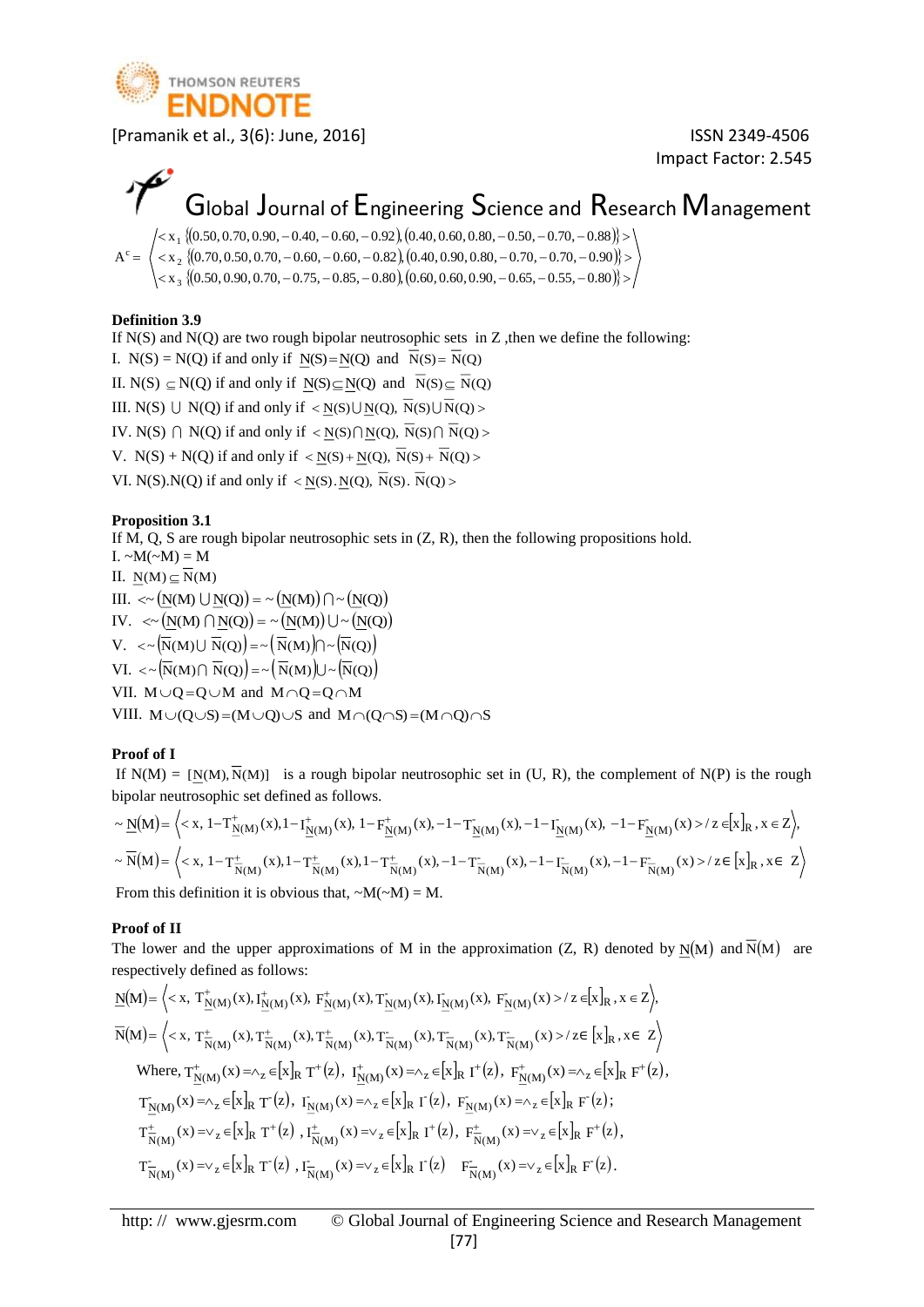

Impact Factor: 2.545

## Global Journal of Engineering Science and Research Management

 $A^c =$  $\{(0.50, 0.70, 0.90, -0.40, -0.60, -0.92), (0.40, 0.60, 0.80, -0.50, -0.70, -0.88)\}$  $\{(0.70, 0.50, 0.70, -0.60, -0.60, -0.82), (0.40, 0.90, 0.80, -0.70, -0.70, -0.90)\}$  $\langle x_{3}|(0.50,0.90,0.70,-0.75,-0.85,-0.80),(0.60,0.60,0.90,-0.65,-0.55,-0.80)\rangle$  $\langle 0.80, 0.00, 0.00, 0.00, 0.00, 0.00, 0.00, 0.00, 0.00, 0.00, 0.00, 0.00, 0.00, 0.00, 0.00, 0.00, 0.00, 0.00, 0.00, 0.00, 0.00, 0.00, 0.00, 0.00, 0.00, 0.00, 0.00, 0.00, 0.00, 0.00, 0.00, 0.00, 0.00, 0.00, 0.00, 0.00, 0$  $\leq$  x  $_3$  (10.50, 0, 70, 0, 90, - 0,40, - 0,60, - 0,924, 10,40, 0,60, 0,80, - 0,50, - 0,70, - 0,884  $>$  $x_3$  {{0.50, 0.90, 0.70, -0.75, -0.85, -0.80 }, (0.60, 0.60, 0.90, -0.65, -0.55, -0.80  $x_2$   $\{0.70, 0.50, 0.70, -0.60, -0.60, -0.82\}, \{0.40, 0.90, 0.80, -0.70, -0.70, -0.90\}$  $x_1$  {(0.50, 0.70, 0.90,  $-$  0.40,  $-$  0.60,  $-$  0.92 }, (0.40, 0.60, 0.80,  $-$  0.50,  $-$  0.70,  $-$  0.88 3 2 1

#### **Definition 3.9**

If  $N(S)$  and  $N(Q)$  are two rough bipolar neutrosophic sets in Z, then we define the following:

I.  $N(S) = N(Q)$  if and only if  $N(S) = N(Q)$  and  $N(S) = N(Q)$ 

II. N(S)  $\subseteq$  N(Q) if and only if N(S) $\subseteq$ N(Q) and N(S) $\subseteq$  N(Q)

III. N(S)  $\cup$  N(Q) if and only if  $\langle N(S) \cup N(Q) \rangle$  N(S)  $\cup N(Q)$ 

IV. N(S)  $\cap$  N(Q) if and only if  $\langle N(S) \cap N(Q), N(S) \cap N(Q) \rangle$ 

V.  $N(S) + N(Q)$  if and only if  $\langle N(S) + N(Q), N(S) + N(Q) \rangle$ 

VI. N(S).N(Q) if and only if  $\langle N(S), N(Q), N(S), N(Q) \rangle$ 

#### **Proposition 3.1**

If M, Q, S are rough bipolar neutrosophic sets in  $(Z, R)$ , then the following propositions hold. I.  $\sim M(\sim M) = M$ II.  $N(M) \subseteq N(M)$ III.  $\lt\sim (\underline{N}(M) \cup \underline{N}(Q)) = \sim (\underline{N}(M)) \cap \sim (\underline{N}(Q))$ IV.  $\langle \sim (\underline{N}(M) \cap \underline{N}(Q)) \rangle = \sim (\underline{N}(M)) \cup \sim (\underline{N}(Q))$  $V. < \sim \left(\overline{N}(M) \cup \overline{N}(Q)\right) = \sim \left(\overline{N}(M)\right) \cap \sim \left(\overline{N}(Q)\right)$ VI.  $\langle \sim (\overline{N}(M) \cap \overline{N}(Q)) \rangle = \sim (\overline{N}(M)) \cup \sim (\overline{N}(Q))$ VII.  $M \cup Q = Q \cup M$  and  $M \cap Q = Q \cap M$ VIII.  $M\cup (Q\cup S) = (M\cup Q)\cup S$  and  $M\cap (Q\cap S) = (M\cap Q)\cap S$ 

#### **Proof of I**

If  $N(M) = [N(M), N(M)]$  is a rough bipolar neutrosophic set in (U, R), the complement of  $N(P)$  is the rough bipolar neutrosophic set defined as follows.

$$
\sim \underline{N}(M) = \Big\langle \right\rangle z \in [x]_R, x \in Z \Big\rangle,
$$
  

$$
\sim \overline{N}(M) = \Big\langle \right\rangle z \in [x]_R, x \in Z \Big\rangle
$$
  
From this definition it is obvious that 
$$
M(A) = M
$$

From this definition it is obvious that,  $-M(\sim M) = M$ .

#### **Proof of II**

The lower and the upper approximations of M in the approximation  $(Z, R)$  denoted by  $\underline{N}(M)$  and  $\overline{N}(M)$  are respectively defined as follows:

$$
\begin{split} &\underline{N}(M) \!=\! \left\langle  \text{ and } {F}_{\underline{N}(M)}^-(x) < \text{ and } {F}_{\underline{N}(M)}^-(x) < \text{ and } {F}_{\underline{N}(M)}^-(x) < \text{ and } {F}_{\underline{N}(M)}^-(x) < \text{ and } {F}_{\underline{N}(M)}^-(x) < \text{ and } {F}_{\underline{N}(M)}^-(x) < \text{ and } {F}_{\underline{N}(M)}^-(x) < \text{ and } {F}_{\underline{N}(M)}^-(x) < \text{ and } {F}_{\underline{N}(M)}^+(x) < \text{ and } {F}_{\underline{N}(M)}^+(x) < \text{ and } {F}_{\underline{N}(M)}^+(x) < \text{ and } {F}_{\underline{N}(M)}^+(x) < \text{ and } {F}_{\underline{N}(M)}^+(x) < \text{ and } {F}_{\underline{N}(M)}^+(x) < \text{ and } {F}_{\underline{N}(M)}^+(x) < \text{ and } {F}_{\underline{N}(M)}^+(x) < \text{ and } {F}_{\underline{N}(M)}^+(x) < \text{ and } {F}_{\underline{N}(M)}^+(x) < \text{ and } {F}_{\underline{N}(M)}^+(x) < \text{ and } {F}_{\underline{N}(M)}^+(x) < \text{ and } {F}_{\underline{N}(M)}^+(x) < \text{ and } {F}_{\underline{N}(M)}^+(x) < \text{ and } {F}_{\underline{N}(M)}^+(x) < \text{ and } {F}_{\underline{N}(M)}^+(x) < \text{ and } {F}_{\underline{N}(M)}^+(x) < \text{ and } {F}_{\underline{N}(M)}^+(x) < \text{ and } {F}_{\underline{N}(M)}^+(x) < \text{ and } {F}_{\underline{N}(M)}^+(x) < \text{ and } {F}_{\underline{N}(M)}^+(x) < \text{ and } {F}_{\underline{N}(M)}^+(x) < \text{ and } {F}_{\underline{N}(M)}^+(x) < \text{ and } {F}_{\underline{N}(M)}^+(x) < \text{
$$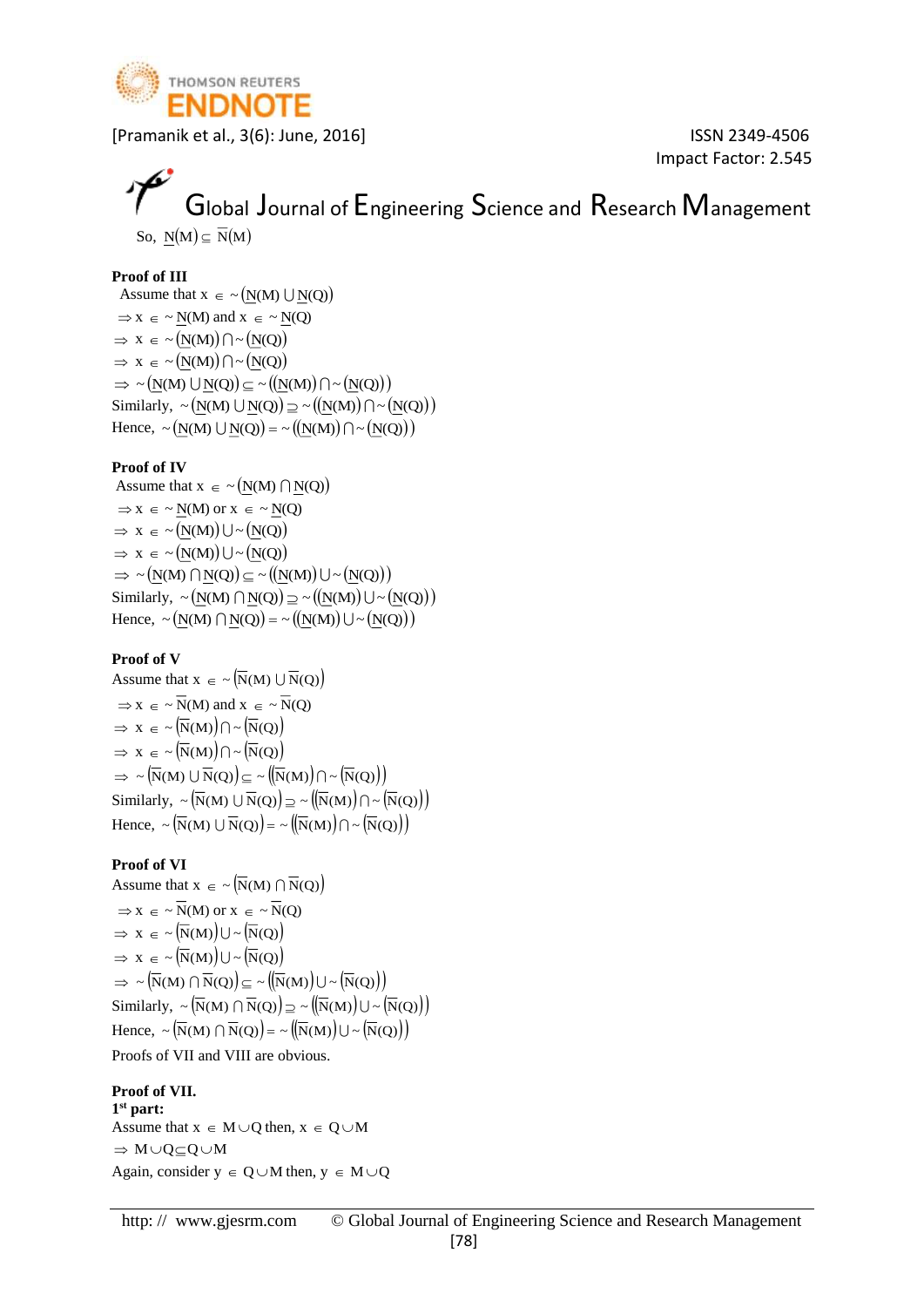

Impact Factor: 2.545

### Global Journal of Engineering Science and Research Management So,  $\underline{N}(M) \subseteq \overline{N}(M)$

#### **Proof of III**

Assume that  $x \in \sim (N(M) \cup N(Q))$  $\Rightarrow$  x  $\in \sim N(M)$  and x  $\in \sim N(Q)$  $\Rightarrow$  x  $\in \sim (N(M)) \cap \sim (N(Q))$  $\Rightarrow$  x  $\in \sim (N(M)) \cap \sim (N(Q))$  $\Rightarrow \sim (N(M) \cup N(Q)) \subseteq \sim ((N(M)) \cap \sim (N(Q)))$ Similarly,  $\sim (\underline{N}(M) \cup \underline{N}(Q)) \supseteq \sim ((\underline{N}(M)) \cap \sim (\underline{N}(Q)))$ Hence,  $\sim (\underline{N}(M) \cup \underline{N}(Q)) = \sim ((\underline{N}(M)) \cap \sim (\underline{N}(Q)))$ 

#### **Proof of IV**

Assume that  $x \in \sim (N(M) \cap N(Q))$  $\Rightarrow$  x  $\in \sim N(M)$  or  $x \in \sim N(Q)$  $\Rightarrow$  x  $\in \sim (N(M)) \cup \sim (N(Q))$  $\Rightarrow$  x  $\in \sim (N(M)) \cup \sim (N(Q))$  $\Rightarrow \sim (N(M) \cap N(Q)) \subseteq \sim ((N(M)) \cup \sim (N(Q)))$ Similarly,  $\sim (\underline{N}(M) \cap \underline{N}(Q)) \supseteq \sim ((\underline{N}(M)) \cup \sim (\underline{N}(Q)))$ Hence,  $\sim (\underline{N}(M) \cap \underline{N}(Q)) = \sim ((\underline{N}(M)) \cup \sim (\underline{N}(Q)))$ 

#### **Proof of V**

Assume that  $x \in \sim \left(\overline{N}(M) \cup \overline{N}(Q)\right)$  $\Rightarrow$  x  $\in \sim N(M)$  and x  $\in \sim N(Q)$  $\Rightarrow$  x  $\in \sim (\overline{N}(M)) \cap \sim (\overline{N}(Q))$  $\Rightarrow$  x  $\in \sim (\overline{N}(M)) \cap \sim (\overline{N}(Q))$  $\Rightarrow \sim (\overline{\text{N}}(\text{M}) \cup \overline{\text{N}}(\text{Q})) \subseteq \sim ((\overline{\text{N}}(\text{M})) \cap \sim (\overline{\text{N}}(\text{Q}))$ Similarly,  $\sim (\overline{N}(M) \cup \overline{N}(Q)) \supseteq \sim ((\overline{N}(M)) \cap \sim (\overline{N}(Q)))$ Hence,  $\sim (\overline{N}(M) \cup \overline{N}(Q)) = \sim ((\overline{N}(M)) \cap \sim (\overline{N}(Q)))$ 

#### **Proof of VI**

Assume that  $x \in \sim \left(\overline{N}(M) \cap \overline{N}(Q)\right)$  $\Rightarrow$  x  $\in \sim N(M)$  or x  $\in \sim N(Q)$  $\Rightarrow$  x  $\in \sim (\overline{N}(M)) \cup \sim (\overline{N}(Q))$  $\Rightarrow$  x  $\in \sim (\overline{N}(M)) \cup \sim (\overline{N}(Q))$  $\Rightarrow \sim (\overline{\text{N}}(\text{M}) \cap \overline{\text{N}}(\text{Q})) \subseteq \sim ((\overline{\text{N}}(\text{M})) \cup \sim (\overline{\text{N}}(\text{Q}))$ Similarly,  $\sim (\overline{N}(M) \cap \overline{N}(Q)) \supseteq \sim ((\overline{N}(M)) \cup \sim (\overline{N}(Q)))$ Hence,  $\sim (\overline{N}(M) \cap \overline{N}(Q)) = \sim ((\overline{N}(M)) \cup \sim (\overline{N}(Q)))$ Proofs of VII and VIII are obvious.

#### **Proof of VII.**

**1 st part:** Assume that  $x \in M \cup Q$  then,  $x \in Q \cup M$  $\Rightarrow M \cup Q \subset Q \cup M$ Again, consider  $y \in Q \cup M$  then,  $y \in M \cup Q$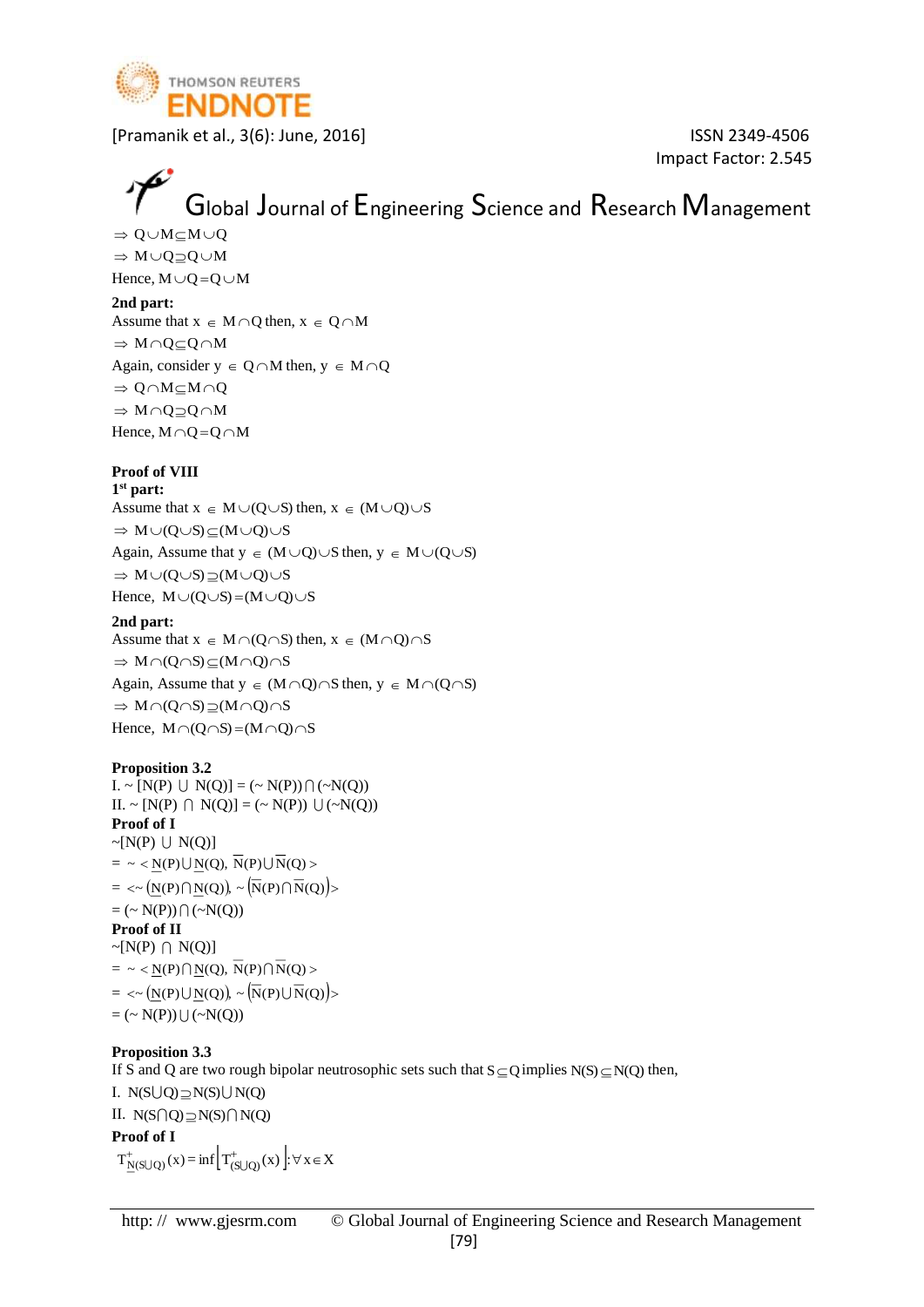

Impact Factor: 2.545

# Global Journal of Engineering Science and Research Management

 $\Rightarrow$  Q $\cup$ M $\subset$ M $\cup$ Q  $\Rightarrow M \cup Q \supseteq Q \cup M$ 

Hence,  $M \cup Q = Q \cup M$ 

#### **2nd part:**

Assume that  $x \in M \cap Q$  then,  $x \in Q \cap M$  $\Rightarrow$  M  $\cap$  Q  $\subset$  Q  $\cap$  M Again, consider  $y \in Q \cap M$  then,  $y \in M \cap Q$  $\Rightarrow$  0  $\cap$  M  $\subset$  M  $\cap$  O  $\Rightarrow$  M  $\cap$  Q  $\supset$  Q  $\cap$  M Hence,  $M \cap Q = Q \cap M$ 

#### **Proof of VIII**

**1 st part:** Assume that  $x \in M \cup (Q \cup S)$  then,  $x \in (M \cup Q) \cup S$  $\Rightarrow M \cup (Q \cup S) \subseteq (M \cup Q) \cup S$ 

Again, Assume that  $y \in (M \cup Q) \cup S$  then,  $y \in M \cup (Q \cup S)$  $\Rightarrow M \cup (Q \cup S) \supseteq (M \cup Q) \cup S$ 

Hence,  $M \cup (Q \cup S) = (M \cup Q) \cup S$ 

#### **2nd part:**

Assume that  $x \in M \cap (Q \cap S)$  then,  $x \in (M \cap Q) \cap S$  $\Rightarrow M \cap (Q \cap S) \subseteq (M \cap Q) \cap S$ Again, Assume that  $y \in (M \cap Q) \cap S$  then,  $y \in M \cap (Q \cap S)$  $\Rightarrow M \cap (Q \cap S) \supseteq (M \cap Q) \cap S$ Hence,  $M \cap (Q \cap S) = (M \cap Q) \cap S$ 

#### **Proposition 3.2**

 $I. \sim [N(P) \cup N(Q)] = (\sim N(P)) \cap (\sim N(Q))$  $II. \sim [N(P) \cap N(Q)] = (\sim N(P)) \cup (\sim N(Q))$ **Proof of I**  $\sim [N(P) \cup N(Q)]$  $= \ \sim \ \leq N(P) \bigcup N(Q), \ \overline{N}(P) \bigcup \overline{N}(Q) >$  $= \langle \sim (\underline{\mathrm{N}}(\mathrm{P}) \bigcap \underline{\mathrm{N}}(\mathrm{Q}) \big) \rangle \sim \left( \overline{\mathrm{N}}(\mathrm{P}) \bigcap \overline{\mathrm{N}}(\mathrm{Q}) \right)$  $= (\sim N(P)) \cap (\sim N(Q))$ **Proof of II**  $\sim [N(P) \cap N(Q)]$  $= \sim \langle N(P) \cap N(Q), \overline{N}(P) \cap \overline{N}(Q) \rangle$  $= \langle \sim (\underline{N}(P) \cup \underline{N}(Q)) \rangle \sim (\overline{N}(P) \cup \overline{N}(Q)) \rangle$  $= (\sim N(P)) \cup (\sim N(Q))$ 

#### **Proposition 3.3**

If S and Q are two rough bipolar neutrosophic sets such that  $S \subseteq Q$  implies  $N(S) \subseteq N(Q)$  then, I.  $N(S \cup Q) \supseteq N(S) \cup N(Q)$ II.  $N(S \cap Q) \supseteq N(S) \cap N(Q)$ **Proof of I**  $T^+_{N(S\cup Q)}(x) = \inf \left[ T^+_{(S\cup Q)}(x) \right] : \forall x \in X$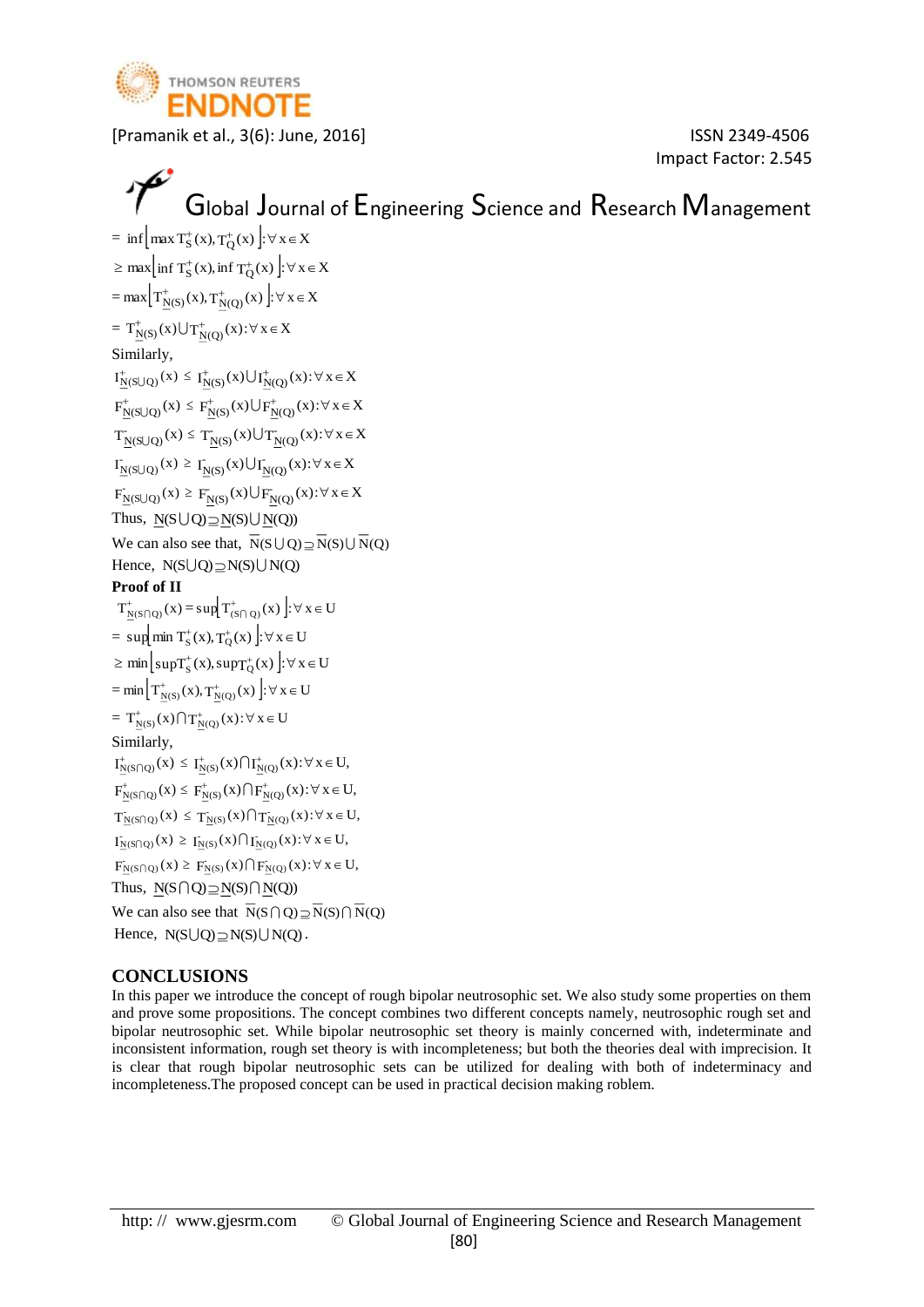

Impact Factor: 2.545

```
\mathcal{P}Global Journal of Engineering Science and Research Management
= \inf \left[ \max T_S^+(x), T_Q^+(x) \right] : \forall x \in X\geq max \left[\inf T^+_S(x), \inf T^+_Q(x)\right] : \forall x \in X=\max\left[\mathrm{T}_{N(S)}^{+}(x),\mathrm{T}_{N(Q)}^{+}(x)\right]:\forall x \in X= T_{N(S)}^{+}(x) \bigcup T_{N(Q)}^{+}(x): \forall x \in XSimilarly, 
 I^+_{N(S\cup Q)}(x) \leq I^+_{N(S)}(x) \bigcup I^+_{N(Q)}(x): \forall x \in XF^+_{N(S\cup Q)}(x) \leq F^+_{N(S)}(x) \bigcup F^+_{N(Q)}(x): \forall x \in XT_{N(S\cup Q)}(x) \leq T_{N(S)}(x) \bigcup T_{N(Q)}(x) : \forall x \in XI_{N(S\cup Q)}(x) \ge I_{N(S)}(x) \bigcup I_{N(Q)}(x): \forall x \in XF_{N(S\cup Q)}(x) \ge F_{N(S)}(x) \bigcup F_{N(Q)}(x) : \forall x \in XThus, N(S \cup Q) \supseteq N(S) \cup N(Q)We can also see that, N(S \cup Q) \supseteq N(S) \cup N(Q)Hence, N(S \cup Q) \supseteq N(S) \cup N(Q)Proof of II
  T^+_{N(S \cap Q)}(x) = \sup \Biggl[ T^+_{(S \cap Q)}(x) \Biggr] : \forall x \in U= \sup \left[ \min T_S^+(x), T_Q^+(x) \right] : \forall x \in U\geq \min\left[\sup T^+_S(x), \sup T^+_Q(x)\right] : \forall x \in U=\min\left[\left.\mathrm{T}_{\mathrm{N}(S)}^{+}\left(\mathrm{x}\right),\mathrm{T}_{\mathrm{N}(Q)}^{+}\left(\mathrm{x}\right)\right.\right]:\forall\;\mathrm{x}\in\mathrm{U}= T^+_{N(S)}(x) \bigcap T^+_{N(Q)}(x) : \forall x \in USimilarly, 
 I^+_{N(S \cap Q)}(x) \leq I^+_{N(S)}(x) \cap I^+_{N(Q)}(x): \forall x \in U,F^{\dagger}_{N(S \cap Q)}(x) \leq F^{\dagger}_{N(S)}(x) \bigcap F^{\dagger}_{N(Q)}(x) : \forall x \in U,T_{N(S \cap Q)}(x) \leq T_{N(S)}(x) \bigcap T_{N(Q)}(x) : \forall x \in U,I_{N(S \cap Q)}(x) \ge I_{N(S)}(x) \cap I_{N(Q)}(x): \forall x \in U,
 F_{N(S \cap Q)}(x) \geq F_{N(S)}(x) \bigcap F_{N(Q)}(x) : \forall x \in U,Thus, N(S \cap Q) \supseteq N(S) \cap N(Q)We can also see that N(S \cap Q) \supseteq N(S) \cap N(Q)Hence, N(S \cup Q) \supseteq N(S) \cup N(Q).
```
#### **CONCLUSIONS**

In this paper we introduce the concept of rough bipolar neutrosophic set. We also study some properties on them and prove some propositions. The concept combines two different concepts namely, neutrosophic rough set and bipolar neutrosophic set. While bipolar neutrosophic set theory is mainly concerned with, indeterminate and inconsistent information, rough set theory is with incompleteness; but both the theories deal with imprecision. It is clear that rough bipolar neutrosophic sets can be utilized for dealing with both of indeterminacy and incompleteness.The proposed concept can be used in practical decision making roblem.